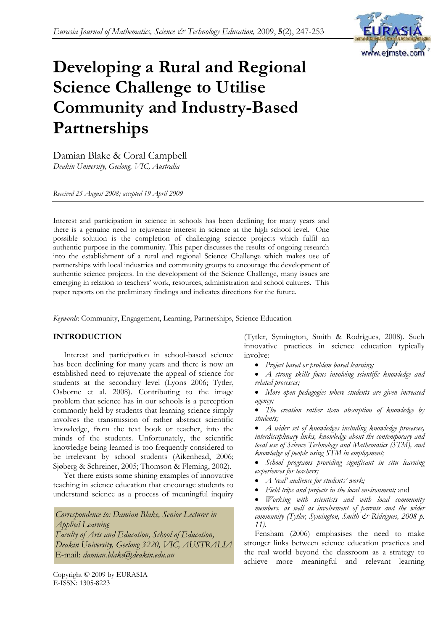

# **Developing a Rural and Regional Science Challenge to Utilise Community and Industry-Based Partnerships**

Damian Blake & Coral Campbell *Deakin University, Geelong, VIC, Australia* 

*Received 25 August 2008; accepted 19 April 2009* 

Interest and participation in science in schools has been declining for many years and there is a genuine need to rejuvenate interest in science at the high school level. One possible solution is the completion of challenging science projects which fulfil an authentic purpose in the community. This paper discusses the results of ongoing research into the establishment of a rural and regional Science Challenge which makes use of partnerships with local industries and community groups to encourage the development of authentic science projects. In the development of the Science Challenge, many issues are emerging in relation to teachers' work, resources, administration and school cultures. This paper reports on the preliminary findings and indicates directions for the future.

*Keywords*: Community, Engagement, Learning, Partnerships, Science Education

# **INTRODUCTION**

Interest and participation in school-based science has been declining for many years and there is now an established need to rejuvenate the appeal of science for students at the secondary level (Lyons 2006; Tytler, Osborne et al. 2008). Contributing to the image problem that science has in our schools is a perception commonly held by students that learning science simply involves the transmission of rather abstract scientific knowledge, from the text book or teacher, into the minds of the students. Unfortunately, the scientific knowledge being learned is too frequently considered to be irrelevant by school students (Aikenhead, 2006; Sjøberg & Schreiner, 2005; Thomson & Fleming, 2002).

Yet there exists some shining examples of innovative teaching in science education that encourage students to understand science as a process of meaningful inquiry

*Correspondence to: Damian Blake, Senior Lecturer in Applied Learning Faculty of Arts and Education, School of Education, Deakin University, Geelong 3220, VIC, AUSTRALIA* E-mail: *damian.blake@deakin.edu.au*

Copyright © 2009 by EURASIA E-ISSN: 1305-8223

(Tytler, Symington, Smith & Rodrigues, 2008). Such innovative practices in science education typically involve:

- *Project based or problem based learning;*
- *A strong skills focus involving scientific knowledge and related processes;*
- *More open pedagogies where students are given increased agency;*
- *The creation rather than absorption of knowledge by students;*

• *A wider set of knowledges including knowledge processes, interdisciplinary links, knowledge about the contemporary and local use of Science Technology and Mathematics (STM), and knowledge of people using STM in employment;* 

• *School programs providing significant in situ learning experiences for teachers;* 

- *A 'real' audience for students' work;*
- *Field trips and projects in the local environment;* and
- *Working with scientists and with local community members, as well as involvement of parents and the wider community (Tytler, Symington, Smith & Ridrigues, 2008 p. 11).*

Fensham (2006) emphasises the need to make stronger links between science education practices and the real world beyond the classroom as a strategy to achieve more meaningful and relevant learning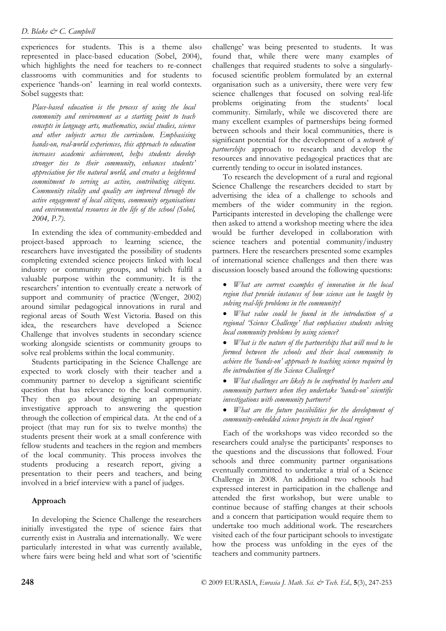experiences for students. This is a theme also represented in place-based education (Sobel, 2004), which highlights the need for teachers to re-connect classrooms with communities and for students to experience 'hands-on' learning in real world contexts. Sobel suggests that:

*Place-based education is the process of using the local community and environment as a starting point to teach concepts in language arts, mathematics, social studies, science and other subjects across the curriculum. Emphasising hands-on, real-world experiences, this approach to education increases academic achievement, helps students develop stronger ties to their community, enhances students' appreciation for the natural world, and creates a heightened commitment to serving as active, contributing citizens. Community vitality and quality are improved through the active engagement of local citizens, community organisations and environmental resources in the life of the school (Sobel, 2004, P.7).* 

In extending the idea of community-embedded and project-based approach to learning science, the researchers have investigated the possibility of students completing extended science projects linked with local industry or community groups, and which fulfil a valuable purpose within the community. It is the researchers' intention to eventually create a network of support and community of practice (Wenger, 2002) around similar pedagogical innovations in rural and regional areas of South West Victoria. Based on this idea, the researchers have developed a Science Challenge that involves students in secondary science working alongside scientists or community groups to solve real problems within the local community.

Students participating in the Science Challenge are expected to work closely with their teacher and a community partner to develop a significant scientific question that has relevance to the local community. They then go about designing an appropriate investigative approach to answering the question through the collection of empirical data. At the end of a project (that may run for six to twelve months) the students present their work at a small conference with fellow students and teachers in the region and members of the local community. This process involves the students producing a research report, giving a presentation to their peers and teachers, and being involved in a brief interview with a panel of judges.

# **Approach**

In developing the Science Challenge the researchers initially investigated the type of science fairs that currently exist in Australia and internationally. We were particularly interested in what was currently available, where fairs were being held and what sort of 'scientific

challenge' was being presented to students. It was found that, while there were many examples of challenges that required students to solve a singularlyfocused scientific problem formulated by an external organisation such as a university, there were very few science challenges that focused on solving real-life problems originating from the students' local community. Similarly, while we discovered there are many excellent examples of partnerships being formed between schools and their local communities, there is significant potential for the development of a *network of partnerships* approach to research and develop the resources and innovative pedagogical practices that are currently tending to occur in isolated instances.

To research the development of a rural and regional Science Challenge the researchers decided to start by advertising the idea of a challenge to schools and members of the wider community in the region. Participants interested in developing the challenge were then asked to attend a workshop meeting where the idea would be further developed in collaboration with science teachers and potential community/industry partners. Here the researchers presented some examples of international science challenges and then there was discussion loosely based around the following questions:

• *What are current examples of innovation in the local region that provide instances of how science can be taught by solving real-life problems in the community?* 

• *What value could be found in the introduction of a regional 'Science Challenge' that emphasises students solving local community problems by using science?* 

• *What is the nature of the partnerships that will need to be formed between the schools and their local community to achieve the 'hands-on' approach to teaching science required by the introduction of the Science Challenge?* 

• *What challenges are likely to be confronted by teachers and community partners when they undertake 'hands-on' scientific investigations with community partners?* 

• *What are the future possibilities for the development of community-embedded science projects in the local region?* 

Each of the workshops was video recorded so the researchers could analyse the participants' responses to the questions and the discussions that followed. Four schools and three community partner organisations eventually committed to undertake a trial of a Science Challenge in 2008. An additional two schools had expressed interest in participation in the challenge and attended the first workshop, but were unable to continue because of staffing changes at their schools and a concern that participation would require them to undertake too much additional work. The researchers visited each of the four participant schools to investigate how the process was unfolding in the eyes of the teachers and community partners.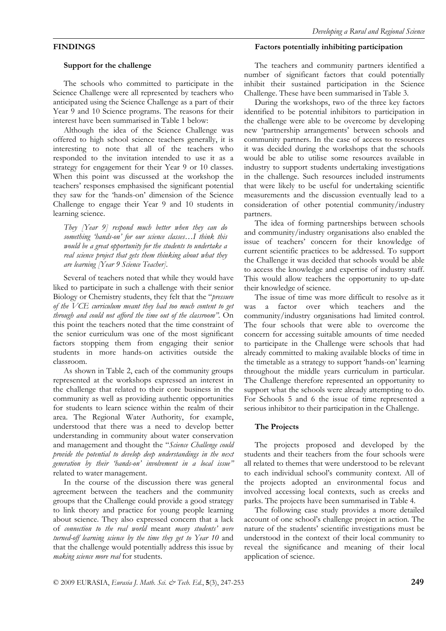# **FINDINGS**

### **Support for the challenge**

The schools who committed to participate in the Science Challenge were all represented by teachers who anticipated using the Science Challenge as a part of their Year 9 and 10 Science programs. The reasons for their interest have been summarised in Table 1 below:

Although the idea of the Science Challenge was offered to high school science teachers generally, it is interesting to note that all of the teachers who responded to the invitation intended to use it as a strategy for engagement for their Year 9 or 10 classes. When this point was discussed at the workshop the teachers' responses emphasised the significant potential they saw for the 'hands-on' dimension of the Science Challenge to engage their Year 9 and 10 students in learning science.

*They [Year 9] respond much better when they can do something 'hands-on' for our science classes…I think this would be a great opportunity for the students to undertake a real science project that gets them thinking about what they are learning [Year 9 Science Teacher].* 

Several of teachers noted that while they would have liked to participate in such a challenge with their senior Biology or Chemistry students, they felt that the "*pressure of the VCE curriculum meant they had too much content to get through and could not afford the time out of the classroom"*. On this point the teachers noted that the time constraint of the senior curriculum was one of the most significant factors stopping them from engaging their senior students in more hands-on activities outside the classroom.

As shown in Table 2, each of the community groups represented at the workshops expressed an interest in the challenge that related to their core business in the community as well as providing authentic opportunities for students to learn science within the realm of their area. The Regional Water Authority, for example, understood that there was a need to develop better understanding in community about water conservation and management and thought the "*Science Challenge could provide the potential to develop deep understandings in the next generation by their 'hands-on' involvement in a local issue"* related to water management.

In the course of the discussion there was general agreement between the teachers and the community groups that the Challenge could provide a good strategy to link theory and practice for young people learning about science. They also expressed concern that a lack of *connection to the real world* meant *many students' were turned-off learning science by the time they get to Year 10* and that the challenge would potentially address this issue by *making science more real* for students.

### **Factors potentially inhibiting participation**

The teachers and community partners identified a number of significant factors that could potentially inhibit their sustained participation in the Science Challenge. These have been summarised in Table 3.

During the workshops, two of the three key factors identified to be potential inhibitors to participation in the challenge were able to be overcome by developing new 'partnership arrangements' between schools and community partners. In the case of access to resources it was decided during the workshops that the schools would be able to utilise some resources available in industry to support students undertaking investigations in the challenge. Such resources included instruments that were likely to be useful for undertaking scientific measurements and the discussion eventually lead to a consideration of other potential community/industry partners.

The idea of forming partnerships between schools and community/industry organisations also enabled the issue of teachers' concern for their knowledge of current scientific practices to be addressed. To support the Challenge it was decided that schools would be able to access the knowledge and expertise of industry staff. This would allow teachers the opportunity to up-date their knowledge of science.

The issue of time was more difficult to resolve as it was a factor over which teachers and the community/industry organisations had limited control. The four schools that were able to overcome the concern for accessing suitable amounts of time needed to participate in the Challenge were schools that had already committed to making available blocks of time in the timetable as a strategy to support 'hands-on' learning throughout the middle years curriculum in particular. The Challenge therefore represented an opportunity to support what the schools were already attempting to do. For Schools 5 and 6 the issue of time represented a serious inhibitor to their participation in the Challenge.

### **The Projects**

The projects proposed and developed by the students and their teachers from the four schools were all related to themes that were understood to be relevant to each individual school's community context. All of the projects adopted an environmental focus and involved accessing local contexts, such as creeks and parks. The projects have been summarised in Table 4.

The following case study provides a more detailed account of one school's challenge project in action. The nature of the students' scientific investigations must be understood in the context of their local community to reveal the significance and meaning of their local application of science.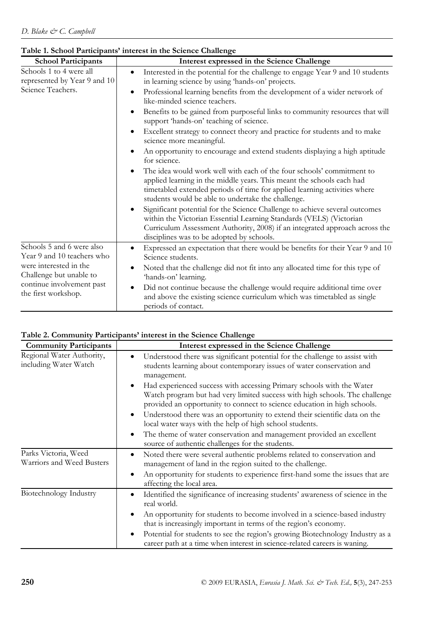| <b>School Participants</b>                                                                                                                                       | Interest expressed in the Science Challenge                                                                                                                                                                                                                                                    |
|------------------------------------------------------------------------------------------------------------------------------------------------------------------|------------------------------------------------------------------------------------------------------------------------------------------------------------------------------------------------------------------------------------------------------------------------------------------------|
| Schools 1 to 4 were all<br>represented by Year 9 and 10<br>Science Teachers.                                                                                     | Interested in the potential for the challenge to engage Year 9 and 10 students<br>$\bullet$<br>in learning science by using 'hands-on' projects.<br>Professional learning benefits from the development of a wider network of<br>$\bullet$<br>like-minded science teachers.                    |
|                                                                                                                                                                  | Benefits to be gained from purposeful links to community resources that will<br>$\bullet$<br>support 'hands-on' teaching of science.                                                                                                                                                           |
|                                                                                                                                                                  | Excellent strategy to connect theory and practice for students and to make<br>$\bullet$<br>science more meaningful.                                                                                                                                                                            |
|                                                                                                                                                                  | An opportunity to encourage and extend students displaying a high aptitude<br>for science.                                                                                                                                                                                                     |
|                                                                                                                                                                  | The idea would work well with each of the four schools' commitment to<br>$\bullet$<br>applied learning in the middle years. This meant the schools each had<br>timetabled extended periods of time for applied learning activities where<br>students would be able to undertake the challenge. |
|                                                                                                                                                                  | Significant potential for the Science Challenge to achieve several outcomes<br>$\bullet$<br>within the Victorian Essential Learning Standards (VELS) (Victorian<br>Curriculum Assessment Authority, 2008) if an integrated approach across the<br>disciplines was to be adopted by schools.    |
| Schools 5 and 6 were also<br>Year 9 and 10 teachers who<br>were interested in the<br>Challenge but unable to<br>continue involvement past<br>the first workshop. | Expressed an expectation that there would be benefits for their Year 9 and 10<br>٠<br>Science students.                                                                                                                                                                                        |
|                                                                                                                                                                  | Noted that the challenge did not fit into any allocated time for this type of<br>$\bullet$<br>'hands-on' learning.                                                                                                                                                                             |
|                                                                                                                                                                  | Did not continue because the challenge would require additional time over<br>$\bullet$<br>and above the existing science curriculum which was timetabled as single<br>periods of contact.                                                                                                      |

# **Table 1. School Participants' interest in the Science Challenge**

# **Table 2. Community Participants' interest in the Science Challenge**

| <b>Community Participants</b>                      | Interest expressed in the Science Challenge                                                                                                                                                                                                                                  |
|----------------------------------------------------|------------------------------------------------------------------------------------------------------------------------------------------------------------------------------------------------------------------------------------------------------------------------------|
| Regional Water Authority,<br>including Water Watch | Understood there was significant potential for the challenge to assist with<br>$\bullet$<br>students learning about contemporary issues of water conservation and<br>management.                                                                                             |
|                                                    | Had experienced success with accessing Primary schools with the Water<br>$\bullet$<br>Watch program but had very limited success with high schools. The challenge<br>provided an opportunity to connect to science education in high schools.                                |
|                                                    | Understood there was an opportunity to extend their scientific data on the<br>٠<br>local water ways with the help of high school students.                                                                                                                                   |
|                                                    | The theme of water conservation and management provided an excellent<br>$\bullet$<br>source of authentic challenges for the students.                                                                                                                                        |
| Parks Victoria, Weed<br>Warriors and Weed Busters  | Noted there were several authentic problems related to conservation and<br>$\bullet$<br>management of land in the region suited to the challenge.<br>An opportunity for students to experience first-hand some the issues that are<br>$\bullet$<br>affecting the local area. |
| Biotechnology Industry                             | Identified the significance of increasing students' awareness of science in the<br>$\bullet$<br>real world.                                                                                                                                                                  |
|                                                    | An opportunity for students to become involved in a science-based industry<br>$\bullet$<br>that is increasingly important in terms of the region's economy.                                                                                                                  |
|                                                    | Potential for students to see the region's growing Biotechnology Industry as a<br>$\bullet$<br>career path at a time when interest in science-related careers is waning.                                                                                                     |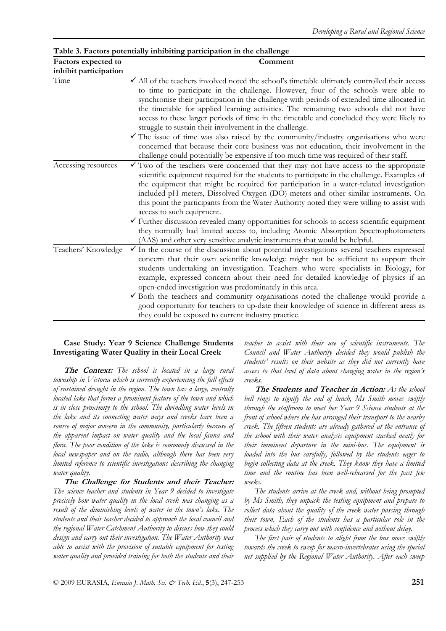| Factors expected to           | Comment                                                                                                                                                                                                                                                                                                                                                                                                                                                                                                                                                                                                                                                                                 |
|-------------------------------|-----------------------------------------------------------------------------------------------------------------------------------------------------------------------------------------------------------------------------------------------------------------------------------------------------------------------------------------------------------------------------------------------------------------------------------------------------------------------------------------------------------------------------------------------------------------------------------------------------------------------------------------------------------------------------------------|
| inhibit participation<br>Time | $\checkmark$ All of the teachers involved noted the school's timetable ultimately controlled their access<br>to time to participate in the challenge. However, four of the schools were able to<br>synchronise their participation in the challenge with periods of extended time allocated in<br>the timetable for applied learning activities. The remaining two schools did not have<br>access to these larger periods of time in the timetable and concluded they were likely to<br>struggle to sustain their involvement in the challenge.                                                                                                                                         |
|                               | $\checkmark$ The issue of time was also raised by the community/industry organisations who were<br>concerned that because their core business was not education, their involvement in the<br>challenge could potentially be expensive if too much time was required of their staff.                                                                                                                                                                                                                                                                                                                                                                                                     |
| Accessing resources           | $\checkmark$ Two of the teachers were concerned that they may not have access to the appropriate<br>scientific equipment required for the students to participate in the challenge. Examples of<br>the equipment that might be required for participation in a water-related investigation<br>included pH meters, Dissolved Oxygen (DO) meters and other similar instruments. On<br>this point the participants from the Water Authority noted they were willing to assist with<br>access to such equipment.                                                                                                                                                                            |
|                               | $\checkmark$ Further discussion revealed many opportunities for schools to access scientific equipment<br>they normally had limited access to, including Atomic Absorption Spectrophotometers<br>(AAS) and other very sensitive analytic instruments that would be helpful.                                                                                                                                                                                                                                                                                                                                                                                                             |
| Teachers' Knowledge           | In the course of the discussion about potential investigations several teachers expressed<br>✓<br>concern that their own scientific knowledge might not be sufficient to support their<br>students undertaking an investigation. Teachers who were specialists in Biology, for<br>example, expressed concern about their need for detailed knowledge of physics if an<br>open-ended investigation was predominately in this area.<br>$\checkmark$ Both the teachers and community organisations noted the challenge would provide a<br>good opportunity for teachers to up-date their knowledge of science in different areas as<br>they could be exposed to current industry practice. |

### **Table 3. Factors potentially inhibiting participation in the challenge**

### **Case Study: Year 9 Science Challenge Students Investigating Water Quality in their Local Creek**

**The Context:** *The school is located in a large rural township in Victoria which is currently experiencing the full effects of sustained drought in the region. The town has a large, centrally located lake that forms a prominent feature of the town and which is in close proximity to the school. The dwindling water levels in the lake and its connecting water ways and creeks have been a source of major concern in the community, particularly because of the apparent impact on water quality and the local fauna and flora. The poor condition of the lake is commonly discussed in the local newspaper and on the radio, although there has been very limited reference to scientific investigations describing the changing water quality.* 

**The Challenge for Students and their Teacher:** *The science teacher and students in Year 9 decided to investigate precisely how water quality in the local creek was changing as a result of the diminishing levels of water in the town's lake. The students and their teacher decided to approach the local council and the regional Water Catchment Authority to discuss how they could design and carry out their investigation. The Water Authority was able to assist with the provision of suitable equipment for testing water quality and provided training for both the students and their*  *teacher to assist with their use of scientific instruments. The Council and Water Authority decided they would publish the students' results on their website as they did not currently have access to that level of data about changing water in the region's creeks.*

**The Students and Teacher in Action:** *As the school bell rings to signify the end of lunch, Ms Smith moves swiftly through the staffroom to meet her Year 9 Science students at the front of school where she has arranged their transport to the nearby creek. The fifteen students are already gathered at the entrance of the school with their water analysis equipment stacked neatly for their imminent departure in the mini-bus. The equipment is loaded into the bus carefully, followed by the students eager to begin collecting data at the creek. They know they have a limited time and the routine has been well-rehearsed for the past few weeks.*

*The students arrive at the creek and, without being prompted by Ms Smith, they unpack the testing equipment and prepare to collect data about the quality of the creek water passing through their town. Each of the students has a particular role in the process which they carry out with confidence and without delay.*

*The first pair of students to alight from the bus move swiftly towards the creek to sweep for macro-invertebrates using the special net supplied by the Regional Water Authority. After each sweep*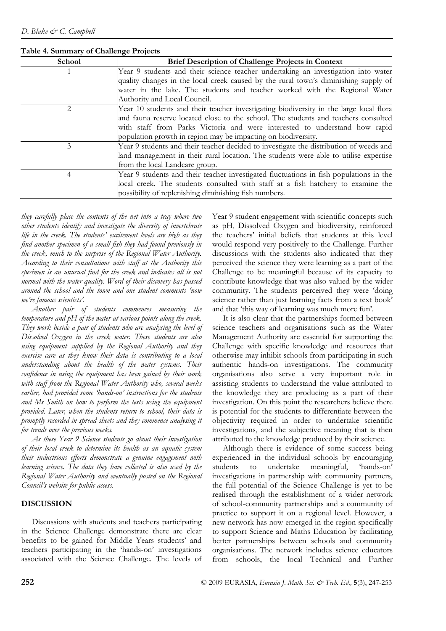| School | <b>Brief Description of Challenge Projects in Context</b>                              |
|--------|----------------------------------------------------------------------------------------|
|        | Year 9 students and their science teacher undertaking an investigation into water      |
|        | quality changes in the local creek caused by the rural town's diminishing supply of    |
|        | water in the lake. The students and teacher worked with the Regional Water             |
|        | Authority and Local Council.                                                           |
| 2.     | Year 10 students and their teacher investigating biodiversity in the large local flora |
|        | and fauna reserve located close to the school. The students and teachers consulted     |
|        | with staff from Parks Victoria and were interested to understand how rapid             |
|        | population growth in region may be impacting on biodiversity.                          |
| 3      | Year 9 students and their teacher decided to investigate the distribution of weeds and |
|        | land management in their rural location. The students were able to utilise expertise   |
|        | from the local Landcare group.                                                         |
| 4      | Year 9 students and their teacher investigated fluctuations in fish populations in the |
|        | local creek. The students consulted with staff at a fish hatchery to examine the       |
|        | possibility of replenishing diminishing fish numbers.                                  |

**Table 4. Summary of Challenge Projects** 

*they carefully place the contents of the net into a tray where two other students identify and investigate the diversity of invertebrate life in the creek. The students' excitement levels are high as they find another specimen of a small fish they had found previously in the creek, much to the surprise of the Regional Water Authority. According to their consultations with staff at the Authority this specimen is an unusual find for the creek and indicates all is not normal with the water quality. Word of their discovery has passed around the school and the town and one student comments 'now we're famous scientists'.*

*Another pair of students commences measuring the temperature and pH of the water at various points along the creek. They work beside a pair of students who are analysing the level of Dissolved Oxygen in the creek water. These students are also using equipment supplied by the Regional Authority and they exercise care as they know their data is contributing to a local understanding about the health of the water systems. Their confidence in using the equipment has been gained by their work with staff from the Regional Water Authority who, several weeks earlier, had provided some 'hands-on' instructions for the students and Ms Smith on how to perform the tests using the equipment provided. Later, when the students return to school, their data is promptly recorded in spread sheets and they commence analysing it for trends over the previous weeks.*

*As these Year 9 Science students go about their investigation of their local creek to determine its health as an aquatic system their industrious efforts demonstrate a genuine engagement with learning science. The data they have collected is also used by the Regional Water Authority and eventually posted on the Regional Council's website for public access.*

## **DISCUSSION**

Discussions with students and teachers participating in the Science Challenge demonstrate there are clear benefits to be gained for Middle Years students' and teachers participating in the 'hands-on' investigations associated with the Science Challenge. The levels of Year 9 student engagement with scientific concepts such as pH, Dissolved Oxygen and biodiversity, reinforced the teachers' initial beliefs that students at this level would respond very positively to the Challenge. Further discussions with the students also indicated that they perceived the science they were learning as a part of the Challenge to be meaningful because of its capacity to contribute knowledge that was also valued by the wider community. The students perceived they were 'doing science rather than just learning facts from a text book' and that 'this way of learning was much more fun'.

It is also clear that the partnerships formed between science teachers and organisations such as the Water Management Authority are essential for supporting the Challenge with specific knowledge and resources that otherwise may inhibit schools from participating in such authentic hands-on investigations. The community organisations also serve a very important role in assisting students to understand the value attributed to the knowledge they are producing as a part of their investigation. On this point the researchers believe there is potential for the students to differentiate between the objectivity required in order to undertake scientific investigations, and the subjective meaning that is then attributed to the knowledge produced by their science.

Although there is evidence of some success being experienced in the individual schools by encouraging students to undertake meaningful, 'hands-on' investigations in partnership with community partners, the full potential of the Science Challenge is yet to be realised through the establishment of a wider network of school-community partnerships and a community of practice to support it on a regional level. However, a new network has now emerged in the region specifically to support Science and Maths Education by facilitating better partnerships between schools and community organisations. The network includes science educators from schools, the local Technical and Further